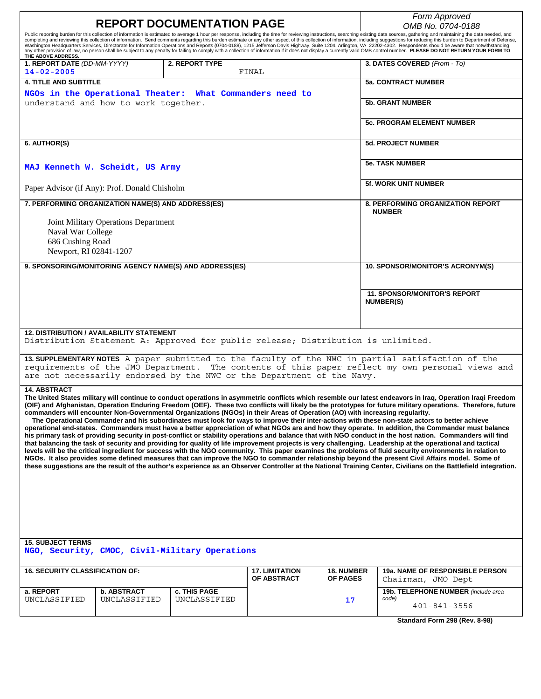| <b>REPORT DOCUMENTATION PAGE</b>                                                                                                                                                                                                                                                                                    |                                                    |                                                                                                                              |                                      |                               | Form Approved                                                                                                                                                                                                                                                                                                                                                                                                                                         |  |
|---------------------------------------------------------------------------------------------------------------------------------------------------------------------------------------------------------------------------------------------------------------------------------------------------------------------|----------------------------------------------------|------------------------------------------------------------------------------------------------------------------------------|--------------------------------------|-------------------------------|-------------------------------------------------------------------------------------------------------------------------------------------------------------------------------------------------------------------------------------------------------------------------------------------------------------------------------------------------------------------------------------------------------------------------------------------------------|--|
| Public reporting burden for this collection of information is estimated to average 1 hour per response, including the time for reviewing instructions, searching existing data sources, gathering and maintaining the data nee                                                                                      |                                                    |                                                                                                                              |                                      |                               | OMB No. 0704-0188                                                                                                                                                                                                                                                                                                                                                                                                                                     |  |
|                                                                                                                                                                                                                                                                                                                     |                                                    |                                                                                                                              |                                      |                               | completing and reviewing this collection of information. Send comments regarding this burden estimate or any other aspect of this collection of information, including suggestions for reducing this burden to Department of D                                                                                                                                                                                                                        |  |
|                                                                                                                                                                                                                                                                                                                     |                                                    |                                                                                                                              |                                      |                               | Washington Headquarters Services, Directorate for Information Operations and Reports (0704-0188), 1215 Jefferson Davis Highway, Suite 1204, Arlington, VA 22202-4302. Respondents should be aware that notwithstanding<br>any other provision of law, no person shall be subject to any penalty for failing to comply with a collection of information if it does not display a currently valid OMB control number. PLEASE DO NOT RETURN YOUR FORM TO |  |
| THE ABOVE ADDRESS.<br>1. REPORT DATE (DD-MM-YYYY)                                                                                                                                                                                                                                                                   |                                                    | 2. REPORT TYPE                                                                                                               |                                      |                               | 3. DATES COVERED (From - To)                                                                                                                                                                                                                                                                                                                                                                                                                          |  |
| 14-02-2005                                                                                                                                                                                                                                                                                                          |                                                    |                                                                                                                              | FINAL                                |                               |                                                                                                                                                                                                                                                                                                                                                                                                                                                       |  |
| <b>4. TITLE AND SUBTITLE</b>                                                                                                                                                                                                                                                                                        |                                                    |                                                                                                                              |                                      |                               | <b>5a. CONTRACT NUMBER</b>                                                                                                                                                                                                                                                                                                                                                                                                                            |  |
| NGOs in the Operational Theater: What Commanders need to                                                                                                                                                                                                                                                            |                                                    |                                                                                                                              |                                      |                               |                                                                                                                                                                                                                                                                                                                                                                                                                                                       |  |
| understand and how to work together.                                                                                                                                                                                                                                                                                |                                                    |                                                                                                                              |                                      |                               | <b>5b. GRANT NUMBER</b>                                                                                                                                                                                                                                                                                                                                                                                                                               |  |
|                                                                                                                                                                                                                                                                                                                     |                                                    |                                                                                                                              |                                      |                               |                                                                                                                                                                                                                                                                                                                                                                                                                                                       |  |
|                                                                                                                                                                                                                                                                                                                     |                                                    |                                                                                                                              |                                      |                               | <b>5c. PROGRAM ELEMENT NUMBER</b>                                                                                                                                                                                                                                                                                                                                                                                                                     |  |
|                                                                                                                                                                                                                                                                                                                     |                                                    |                                                                                                                              |                                      |                               |                                                                                                                                                                                                                                                                                                                                                                                                                                                       |  |
| 6. AUTHOR(S)                                                                                                                                                                                                                                                                                                        |                                                    |                                                                                                                              |                                      |                               | <b>5d. PROJECT NUMBER</b>                                                                                                                                                                                                                                                                                                                                                                                                                             |  |
|                                                                                                                                                                                                                                                                                                                     |                                                    |                                                                                                                              |                                      |                               |                                                                                                                                                                                                                                                                                                                                                                                                                                                       |  |
|                                                                                                                                                                                                                                                                                                                     |                                                    |                                                                                                                              |                                      |                               | <b>5e. TASK NUMBER</b>                                                                                                                                                                                                                                                                                                                                                                                                                                |  |
|                                                                                                                                                                                                                                                                                                                     | MAJ Kenneth W. Scheidt, US Army                    |                                                                                                                              |                                      |                               |                                                                                                                                                                                                                                                                                                                                                                                                                                                       |  |
|                                                                                                                                                                                                                                                                                                                     |                                                    |                                                                                                                              |                                      |                               | <b>5f. WORK UNIT NUMBER</b>                                                                                                                                                                                                                                                                                                                                                                                                                           |  |
| Paper Advisor (if Any): Prof. Donald Chisholm                                                                                                                                                                                                                                                                       |                                                    |                                                                                                                              |                                      |                               |                                                                                                                                                                                                                                                                                                                                                                                                                                                       |  |
|                                                                                                                                                                                                                                                                                                                     | 7. PERFORMING ORGANIZATION NAME(S) AND ADDRESS(ES) |                                                                                                                              |                                      |                               | <b>8. PERFORMING ORGANIZATION REPORT</b>                                                                                                                                                                                                                                                                                                                                                                                                              |  |
|                                                                                                                                                                                                                                                                                                                     |                                                    |                                                                                                                              |                                      |                               | <b>NUMBER</b>                                                                                                                                                                                                                                                                                                                                                                                                                                         |  |
|                                                                                                                                                                                                                                                                                                                     | Joint Military Operations Department               |                                                                                                                              |                                      |                               |                                                                                                                                                                                                                                                                                                                                                                                                                                                       |  |
| Naval War College                                                                                                                                                                                                                                                                                                   |                                                    |                                                                                                                              |                                      |                               |                                                                                                                                                                                                                                                                                                                                                                                                                                                       |  |
| 686 Cushing Road                                                                                                                                                                                                                                                                                                    |                                                    |                                                                                                                              |                                      |                               |                                                                                                                                                                                                                                                                                                                                                                                                                                                       |  |
| Newport, RI 02841-1207                                                                                                                                                                                                                                                                                              |                                                    |                                                                                                                              |                                      |                               |                                                                                                                                                                                                                                                                                                                                                                                                                                                       |  |
| 9. SPONSORING/MONITORING AGENCY NAME(S) AND ADDRESS(ES)                                                                                                                                                                                                                                                             |                                                    |                                                                                                                              |                                      |                               | 10. SPONSOR/MONITOR'S ACRONYM(S)                                                                                                                                                                                                                                                                                                                                                                                                                      |  |
|                                                                                                                                                                                                                                                                                                                     |                                                    |                                                                                                                              |                                      |                               |                                                                                                                                                                                                                                                                                                                                                                                                                                                       |  |
|                                                                                                                                                                                                                                                                                                                     |                                                    |                                                                                                                              |                                      |                               |                                                                                                                                                                                                                                                                                                                                                                                                                                                       |  |
|                                                                                                                                                                                                                                                                                                                     |                                                    |                                                                                                                              |                                      |                               | <b>11. SPONSOR/MONITOR'S REPORT</b>                                                                                                                                                                                                                                                                                                                                                                                                                   |  |
|                                                                                                                                                                                                                                                                                                                     |                                                    |                                                                                                                              |                                      |                               | <b>NUMBER(S)</b>                                                                                                                                                                                                                                                                                                                                                                                                                                      |  |
|                                                                                                                                                                                                                                                                                                                     |                                                    |                                                                                                                              |                                      |                               |                                                                                                                                                                                                                                                                                                                                                                                                                                                       |  |
|                                                                                                                                                                                                                                                                                                                     |                                                    |                                                                                                                              |                                      |                               |                                                                                                                                                                                                                                                                                                                                                                                                                                                       |  |
| 12. DISTRIBUTION / AVAILABILITY STATEMENT                                                                                                                                                                                                                                                                           |                                                    |                                                                                                                              |                                      |                               |                                                                                                                                                                                                                                                                                                                                                                                                                                                       |  |
| Distribution Statement A: Approved for public release; Distribution is unlimited.                                                                                                                                                                                                                                   |                                                    |                                                                                                                              |                                      |                               |                                                                                                                                                                                                                                                                                                                                                                                                                                                       |  |
| 13. SUPPLEMENTARY NOTES A paper submitted to the faculty of the NWC in partial satisfaction of the                                                                                                                                                                                                                  |                                                    |                                                                                                                              |                                      |                               |                                                                                                                                                                                                                                                                                                                                                                                                                                                       |  |
| requirements of the JMO Department. The contents of this paper reflect my own personal views and                                                                                                                                                                                                                    |                                                    |                                                                                                                              |                                      |                               |                                                                                                                                                                                                                                                                                                                                                                                                                                                       |  |
|                                                                                                                                                                                                                                                                                                                     |                                                    | are not necessarily endorsed by the NWC or the Department of the Navy.                                                       |                                      |                               |                                                                                                                                                                                                                                                                                                                                                                                                                                                       |  |
| <b>14. ABSTRACT</b>                                                                                                                                                                                                                                                                                                 |                                                    |                                                                                                                              |                                      |                               |                                                                                                                                                                                                                                                                                                                                                                                                                                                       |  |
|                                                                                                                                                                                                                                                                                                                     |                                                    |                                                                                                                              |                                      |                               | The United States military will continue to conduct operations in asymmetric conflicts which resemble our latest endeavors in Iraq, Operation Iraqi Freedom                                                                                                                                                                                                                                                                                           |  |
|                                                                                                                                                                                                                                                                                                                     |                                                    |                                                                                                                              |                                      |                               | (OIF) and Afghanistan, Operation Enduring Freedom (OEF). These two conflicts will likely be the prototypes for future military operations. Therefore, future                                                                                                                                                                                                                                                                                          |  |
|                                                                                                                                                                                                                                                                                                                     |                                                    | commanders will encounter Non-Governmental Organizations (NGOs) in their Areas of Operation (AO) with increasing regularity. |                                      |                               |                                                                                                                                                                                                                                                                                                                                                                                                                                                       |  |
|                                                                                                                                                                                                                                                                                                                     |                                                    |                                                                                                                              |                                      |                               | The Operational Commander and his subordinates must look for ways to improve their inter-actions with these non-state actors to better achieve<br>operational end-states. Commanders must have a better appreciation of what NGOs are and how they operate. In addition, the Commander must balance                                                                                                                                                   |  |
|                                                                                                                                                                                                                                                                                                                     |                                                    |                                                                                                                              |                                      |                               | his primary task of providing security in post-conflict or stability operations and balance that with NGO conduct in the host nation. Commanders will find                                                                                                                                                                                                                                                                                            |  |
|                                                                                                                                                                                                                                                                                                                     |                                                    |                                                                                                                              |                                      |                               | that balancing the task of security and providing for quality of life improvement projects is very challenging. Leadership at the operational and tactical                                                                                                                                                                                                                                                                                            |  |
|                                                                                                                                                                                                                                                                                                                     |                                                    |                                                                                                                              |                                      |                               | levels will be the critical ingredient for success with the NGO community. This paper examines the problems of fluid security environments in relation to                                                                                                                                                                                                                                                                                             |  |
| NGOs. It also provides some defined measures that can improve the NGO to commander relationship beyond the present Civil Affairs model. Some of<br>these suggestions are the result of the author's experience as an Observer Controller at the National Training Center, Civilians on the Battlefield integration. |                                                    |                                                                                                                              |                                      |                               |                                                                                                                                                                                                                                                                                                                                                                                                                                                       |  |
|                                                                                                                                                                                                                                                                                                                     |                                                    |                                                                                                                              |                                      |                               |                                                                                                                                                                                                                                                                                                                                                                                                                                                       |  |
|                                                                                                                                                                                                                                                                                                                     |                                                    |                                                                                                                              |                                      |                               |                                                                                                                                                                                                                                                                                                                                                                                                                                                       |  |
|                                                                                                                                                                                                                                                                                                                     |                                                    |                                                                                                                              |                                      |                               |                                                                                                                                                                                                                                                                                                                                                                                                                                                       |  |
|                                                                                                                                                                                                                                                                                                                     |                                                    |                                                                                                                              |                                      |                               |                                                                                                                                                                                                                                                                                                                                                                                                                                                       |  |
|                                                                                                                                                                                                                                                                                                                     |                                                    |                                                                                                                              |                                      |                               |                                                                                                                                                                                                                                                                                                                                                                                                                                                       |  |
|                                                                                                                                                                                                                                                                                                                     |                                                    |                                                                                                                              |                                      |                               |                                                                                                                                                                                                                                                                                                                                                                                                                                                       |  |
|                                                                                                                                                                                                                                                                                                                     |                                                    |                                                                                                                              |                                      |                               |                                                                                                                                                                                                                                                                                                                                                                                                                                                       |  |
| <b>15. SUBJECT TERMS</b>                                                                                                                                                                                                                                                                                            |                                                    |                                                                                                                              |                                      |                               |                                                                                                                                                                                                                                                                                                                                                                                                                                                       |  |
|                                                                                                                                                                                                                                                                                                                     |                                                    | NGO, Security, CMOC, Civil-Military Operations                                                                               |                                      |                               |                                                                                                                                                                                                                                                                                                                                                                                                                                                       |  |
|                                                                                                                                                                                                                                                                                                                     |                                                    |                                                                                                                              |                                      |                               |                                                                                                                                                                                                                                                                                                                                                                                                                                                       |  |
| <b>16. SECURITY CLASSIFICATION OF:</b>                                                                                                                                                                                                                                                                              |                                                    |                                                                                                                              | <b>17. LIMITATION</b><br>OF ABSTRACT | <b>18. NUMBER</b><br>OF PAGES | 19a. NAME OF RESPONSIBLE PERSON<br>Chairman, JMO Dept                                                                                                                                                                                                                                                                                                                                                                                                 |  |
|                                                                                                                                                                                                                                                                                                                     |                                                    |                                                                                                                              |                                      |                               |                                                                                                                                                                                                                                                                                                                                                                                                                                                       |  |
| a. REPORT                                                                                                                                                                                                                                                                                                           | <b>b. ABSTRACT</b>                                 | c. THIS PAGE                                                                                                                 |                                      |                               | 19b. TELEPHONE NUMBER (include area<br>code)                                                                                                                                                                                                                                                                                                                                                                                                          |  |
| UNCLASSIFIED                                                                                                                                                                                                                                                                                                        | UNCLASSIFIED                                       | UNCLASSIFIED                                                                                                                 |                                      | 17                            | 401-841-3556                                                                                                                                                                                                                                                                                                                                                                                                                                          |  |
|                                                                                                                                                                                                                                                                                                                     |                                                    |                                                                                                                              |                                      |                               |                                                                                                                                                                                                                                                                                                                                                                                                                                                       |  |
|                                                                                                                                                                                                                                                                                                                     |                                                    |                                                                                                                              |                                      |                               | Standard Form 298 (Rev. 8-98)                                                                                                                                                                                                                                                                                                                                                                                                                         |  |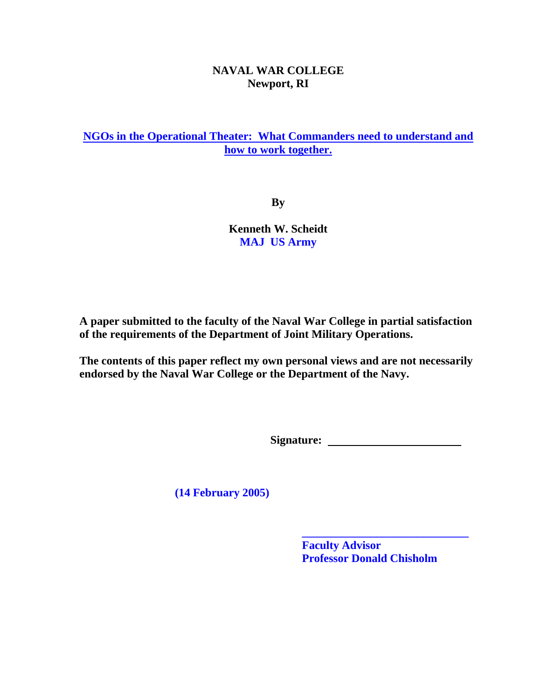# **NAVAL WAR COLLEGE Newport, RI**

# **NGOs in the Operational Theater: What Commanders need to understand and how to work together.**

**By** 

**Kenneth W. Scheidt MAJ US Army** 

**A paper submitted to the faculty of the Naval War College in partial satisfaction of the requirements of the Department of Joint Military Operations.** 

**The contents of this paper reflect my own personal views and are not necessarily endorsed by the Naval War College or the Department of the Navy.** 

 **\_\_\_\_\_\_\_\_\_\_\_\_\_\_\_\_\_\_\_\_\_\_\_\_\_\_\_\_\_** 

 **Signature:** 

 **(14 February 2005)** 

**Faculty Advisor Professor Donald Chisholm**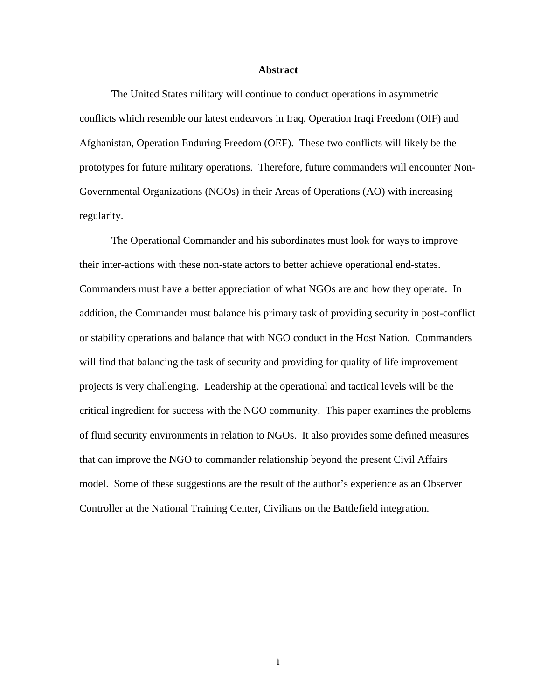#### **Abstract**

 The United States military will continue to conduct operations in asymmetric conflicts which resemble our latest endeavors in Iraq, Operation Iraqi Freedom (OIF) and Afghanistan, Operation Enduring Freedom (OEF). These two conflicts will likely be the prototypes for future military operations. Therefore, future commanders will encounter Non-Governmental Organizations (NGOs) in their Areas of Operations (AO) with increasing regularity.

 The Operational Commander and his subordinates must look for ways to improve their inter-actions with these non-state actors to better achieve operational end-states. Commanders must have a better appreciation of what NGOs are and how they operate. In addition, the Commander must balance his primary task of providing security in post-conflict or stability operations and balance that with NGO conduct in the Host Nation. Commanders will find that balancing the task of security and providing for quality of life improvement projects is very challenging. Leadership at the operational and tactical levels will be the critical ingredient for success with the NGO community. This paper examines the problems of fluid security environments in relation to NGOs. It also provides some defined measures that can improve the NGO to commander relationship beyond the present Civil Affairs model. Some of these suggestions are the result of the author's experience as an Observer Controller at the National Training Center, Civilians on the Battlefield integration.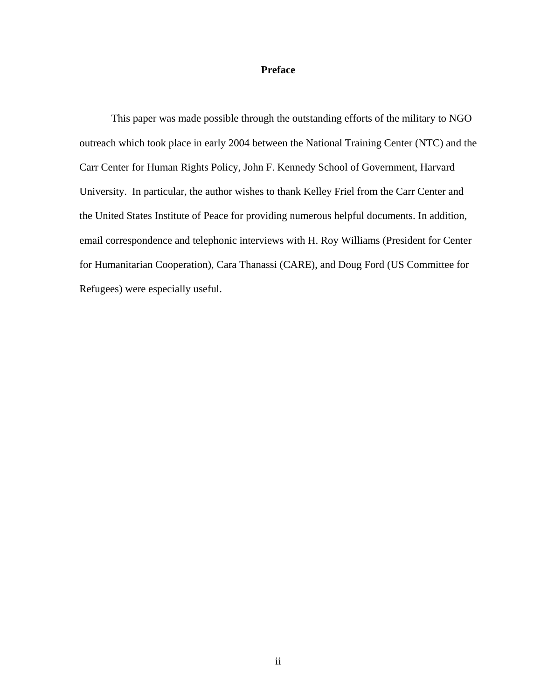## **Preface**

 This paper was made possible through the outstanding efforts of the military to NGO outreach which took place in early 2004 between the National Training Center (NTC) and the Carr Center for Human Rights Policy, John F. Kennedy School of Government, Harvard University. In particular, the author wishes to thank Kelley Friel from the Carr Center and the United States Institute of Peace for providing numerous helpful documents. In addition, email correspondence and telephonic interviews with H. Roy Williams (President for Center for Humanitarian Cooperation), Cara Thanassi (CARE), and Doug Ford (US Committee for Refugees) were especially useful.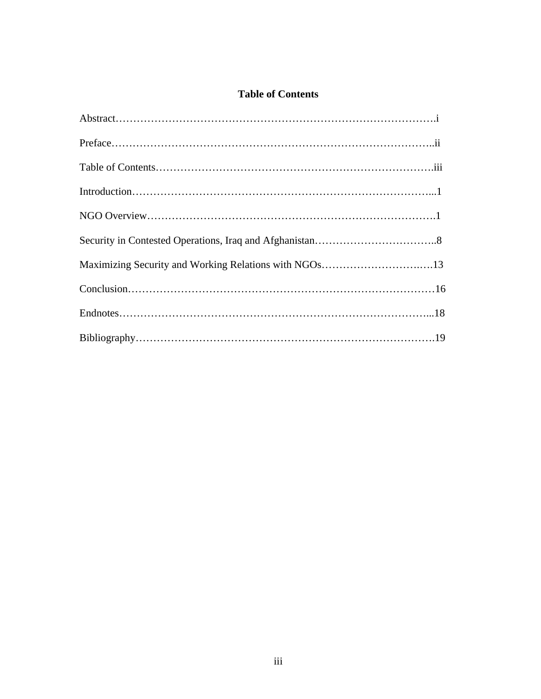# **Table of Contents**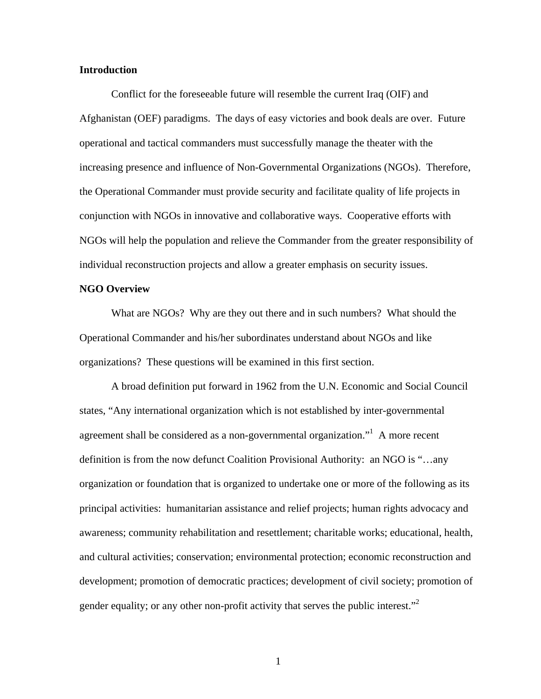#### **Introduction**

Conflict for the foreseeable future will resemble the current Iraq (OIF) and Afghanistan (OEF) paradigms. The days of easy victories and book deals are over. Future operational and tactical commanders must successfully manage the theater with the increasing presence and influence of Non-Governmental Organizations (NGOs). Therefore, the Operational Commander must provide security and facilitate quality of life projects in conjunction with NGOs in innovative and collaborative ways. Cooperative efforts with NGOs will help the population and relieve the Commander from the greater responsibility of individual reconstruction projects and allow a greater emphasis on security issues.

#### **NGO Overview**

 What are NGOs? Why are they out there and in such numbers? What should the Operational Commander and his/her subordinates understand about NGOs and like organizations? These questions will be examined in this first section.

A broad definition put forward in 1962 from the U.N. Economic and Social Council states, "Any international organization which is not established by inter-governmental agreement shall be considered as a non-governmental organization."<sup>1</sup> A more recent definition is from the now defunct Coalition Provisional Authority: an NGO is "…any organization or foundation that is organized to undertake one or more of the following as its principal activities: humanitarian assistance and relief projects; human rights advocacy and awareness; community rehabilitation and resettlement; charitable works; educational, health, and cultural activities; conservation; environmental protection; economic reconstruction and development; promotion of democratic practices; development of civil society; promotion of gender equality; or any other non-profit activity that serves the public interest."<sup>2</sup>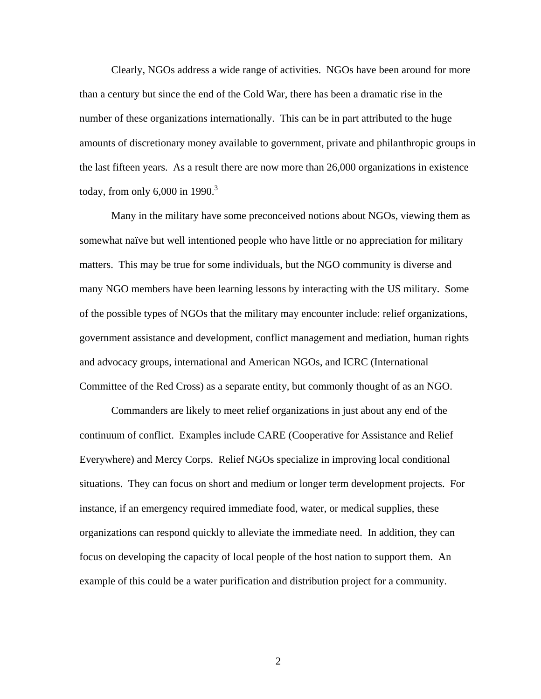Clearly, NGOs address a wide range of activities. NGOs have been around for more than a century but since the end of the Cold War, there has been a dramatic rise in the number of these organizations internationally. This can be in part attributed to the huge amounts of discretionary money available to government, private and philanthropic groups in the last fifteen years. As a result there are now more than 26,000 organizations in existence today, from only  $6,000$  in 1990.<sup>3</sup>

 Many in the military have some preconceived notions about NGOs, viewing them as somewhat naïve but well intentioned people who have little or no appreciation for military matters. This may be true for some individuals, but the NGO community is diverse and many NGO members have been learning lessons by interacting with the US military. Some of the possible types of NGOs that the military may encounter include: relief organizations, government assistance and development, conflict management and mediation, human rights and advocacy groups, international and American NGOs, and ICRC (International Committee of the Red Cross) as a separate entity, but commonly thought of as an NGO.

 Commanders are likely to meet relief organizations in just about any end of the continuum of conflict. Examples include CARE (Cooperative for Assistance and Relief Everywhere) and Mercy Corps. Relief NGOs specialize in improving local conditional situations. They can focus on short and medium or longer term development projects. For instance, if an emergency required immediate food, water, or medical supplies, these organizations can respond quickly to alleviate the immediate need. In addition, they can focus on developing the capacity of local people of the host nation to support them. An example of this could be a water purification and distribution project for a community.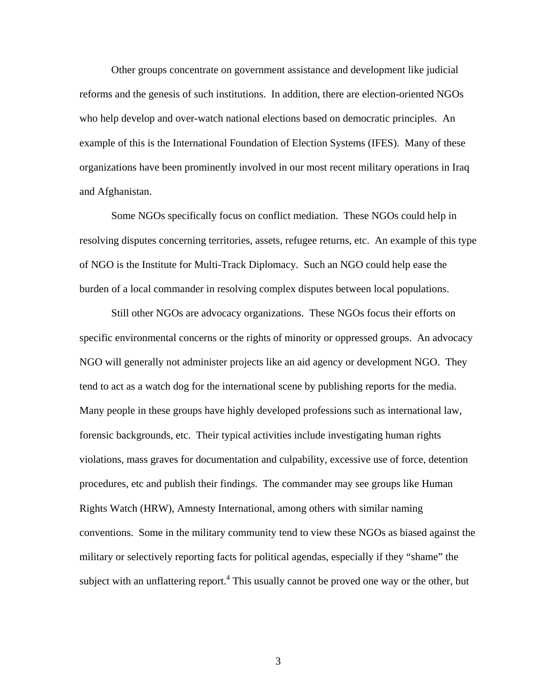Other groups concentrate on government assistance and development like judicial reforms and the genesis of such institutions. In addition, there are election-oriented NGOs who help develop and over-watch national elections based on democratic principles. An example of this is the International Foundation of Election Systems (IFES). Many of these organizations have been prominently involved in our most recent military operations in Iraq and Afghanistan.

 Some NGOs specifically focus on conflict mediation. These NGOs could help in resolving disputes concerning territories, assets, refugee returns, etc. An example of this type of NGO is the Institute for Multi-Track Diplomacy. Such an NGO could help ease the burden of a local commander in resolving complex disputes between local populations.

 Still other NGOs are advocacy organizations. These NGOs focus their efforts on specific environmental concerns or the rights of minority or oppressed groups. An advocacy NGO will generally not administer projects like an aid agency or development NGO. They tend to act as a watch dog for the international scene by publishing reports for the media. Many people in these groups have highly developed professions such as international law, forensic backgrounds, etc. Their typical activities include investigating human rights violations, mass graves for documentation and culpability, excessive use of force, detention procedures, etc and publish their findings. The commander may see groups like Human Rights Watch (HRW), Amnesty International, among others with similar naming conventions. Some in the military community tend to view these NGOs as biased against the military or selectively reporting facts for political agendas, especially if they "shame" the subject with an unflattering report.<sup>4</sup> This usually cannot be proved one way or the other, but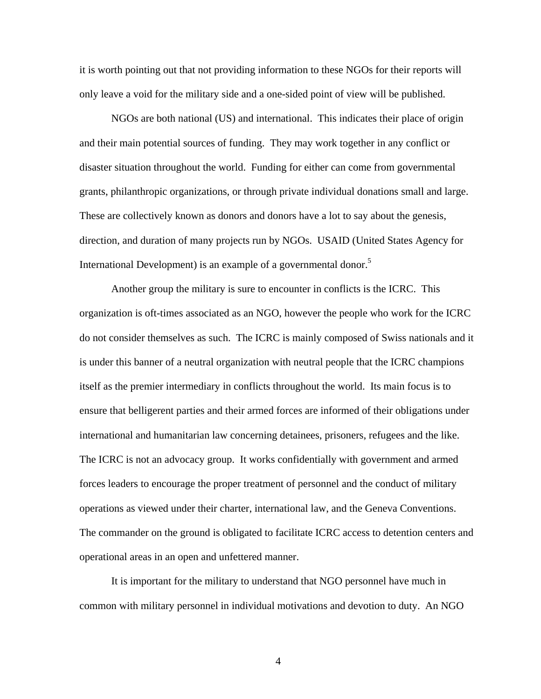it is worth pointing out that not providing information to these NGOs for their reports will only leave a void for the military side and a one-sided point of view will be published.

 NGOs are both national (US) and international. This indicates their place of origin and their main potential sources of funding. They may work together in any conflict or disaster situation throughout the world. Funding for either can come from governmental grants, philanthropic organizations, or through private individual donations small and large. These are collectively known as donors and donors have a lot to say about the genesis, direction, and duration of many projects run by NGOs. USAID (United States Agency for International Development) is an example of a governmental donor.<sup>5</sup>

 Another group the military is sure to encounter in conflicts is the ICRC. This organization is oft-times associated as an NGO, however the people who work for the ICRC do not consider themselves as such. The ICRC is mainly composed of Swiss nationals and it is under this banner of a neutral organization with neutral people that the ICRC champions itself as the premier intermediary in conflicts throughout the world. Its main focus is to ensure that belligerent parties and their armed forces are informed of their obligations under international and humanitarian law concerning detainees, prisoners, refugees and the like. The ICRC is not an advocacy group. It works confidentially with government and armed forces leaders to encourage the proper treatment of personnel and the conduct of military operations as viewed under their charter, international law, and the Geneva Conventions. The commander on the ground is obligated to facilitate ICRC access to detention centers and operational areas in an open and unfettered manner.

 It is important for the military to understand that NGO personnel have much in common with military personnel in individual motivations and devotion to duty. An NGO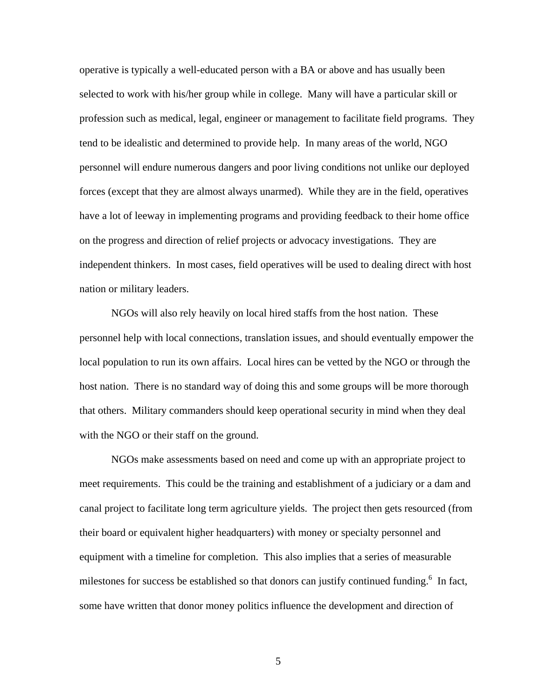operative is typically a well-educated person with a BA or above and has usually been selected to work with his/her group while in college. Many will have a particular skill or profession such as medical, legal, engineer or management to facilitate field programs. They tend to be idealistic and determined to provide help. In many areas of the world, NGO personnel will endure numerous dangers and poor living conditions not unlike our deployed forces (except that they are almost always unarmed). While they are in the field, operatives have a lot of leeway in implementing programs and providing feedback to their home office on the progress and direction of relief projects or advocacy investigations. They are independent thinkers. In most cases, field operatives will be used to dealing direct with host nation or military leaders.

 NGOs will also rely heavily on local hired staffs from the host nation. These personnel help with local connections, translation issues, and should eventually empower the local population to run its own affairs. Local hires can be vetted by the NGO or through the host nation. There is no standard way of doing this and some groups will be more thorough that others. Military commanders should keep operational security in mind when they deal with the NGO or their staff on the ground.

 NGOs make assessments based on need and come up with an appropriate project to meet requirements. This could be the training and establishment of a judiciary or a dam and canal project to facilitate long term agriculture yields. The project then gets resourced (from their board or equivalent higher headquarters) with money or specialty personnel and equipment with a timeline for completion. This also implies that a series of measurable milestones for success be established so that donors can justify continued funding.<sup>6</sup> In fact, some have written that donor money politics influence the development and direction of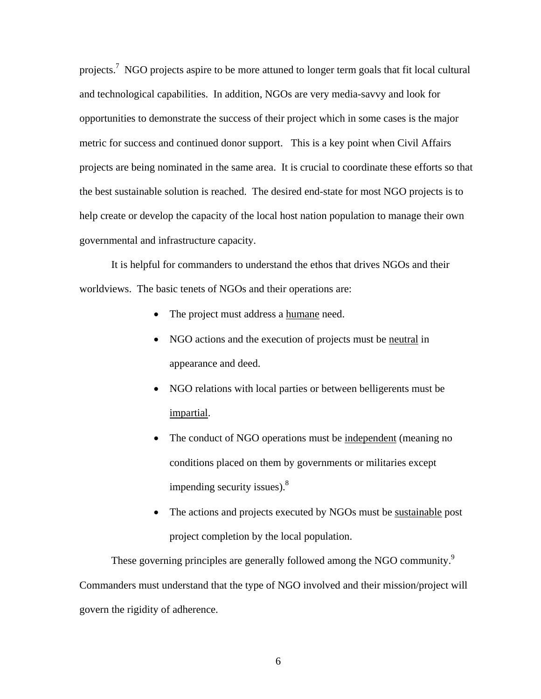projects.<sup>7</sup> NGO projects aspire to be more attuned to longer term goals that fit local cultural and technological capabilities. In addition, NGOs are very media-savvy and look for opportunities to demonstrate the success of their project which in some cases is the major metric for success and continued donor support. This is a key point when Civil Affairs projects are being nominated in the same area. It is crucial to coordinate these efforts so that the best sustainable solution is reached. The desired end-state for most NGO projects is to help create or develop the capacity of the local host nation population to manage their own governmental and infrastructure capacity.

 It is helpful for commanders to understand the ethos that drives NGOs and their worldviews. The basic tenets of NGOs and their operations are:

- The project must address a <u>humane</u> need.
- NGO actions and the execution of projects must be neutral in appearance and deed.
- NGO relations with local parties or between belligerents must be impartial.
- The conduct of NGO operations must be independent (meaning no conditions placed on them by governments or militaries except impending security issues). $8$
- The actions and projects executed by NGOs must be <u>sustainable</u> post project completion by the local population.

These governing principles are generally followed among the NGO community.<sup>9</sup> Commanders must understand that the type of NGO involved and their mission/project will govern the rigidity of adherence.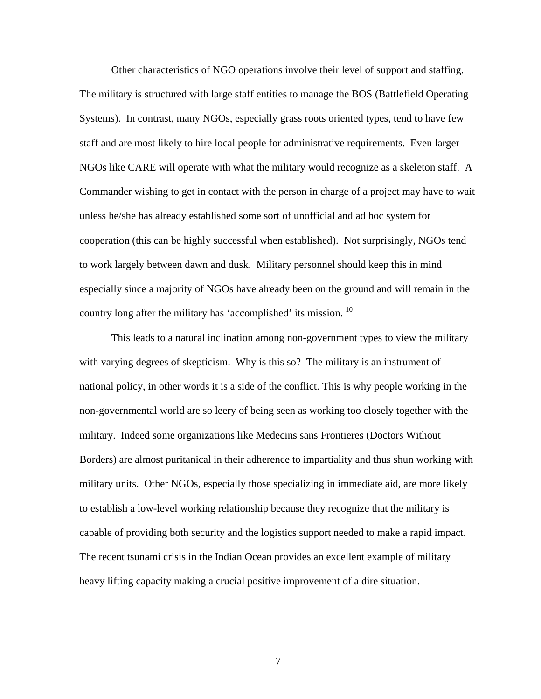Other characteristics of NGO operations involve their level of support and staffing. The military is structured with large staff entities to manage the BOS (Battlefield Operating Systems). In contrast, many NGOs, especially grass roots oriented types, tend to have few staff and are most likely to hire local people for administrative requirements. Even larger NGOs like CARE will operate with what the military would recognize as a skeleton staff. A Commander wishing to get in contact with the person in charge of a project may have to wait unless he/she has already established some sort of unofficial and ad hoc system for cooperation (this can be highly successful when established). Not surprisingly, NGOs tend to work largely between dawn and dusk. Military personnel should keep this in mind especially since a majority of NGOs have already been on the ground and will remain in the country long after the military has 'accomplished' its mission.<sup>10</sup>

This leads to a natural inclination among non-government types to view the military with varying degrees of skepticism. Why is this so? The military is an instrument of national policy, in other words it is a side of the conflict. This is why people working in the non-governmental world are so leery of being seen as working too closely together with the military. Indeed some organizations like Medecins sans Frontieres (Doctors Without Borders) are almost puritanical in their adherence to impartiality and thus shun working with military units. Other NGOs, especially those specializing in immediate aid, are more likely to establish a low-level working relationship because they recognize that the military is capable of providing both security and the logistics support needed to make a rapid impact. The recent tsunami crisis in the Indian Ocean provides an excellent example of military heavy lifting capacity making a crucial positive improvement of a dire situation.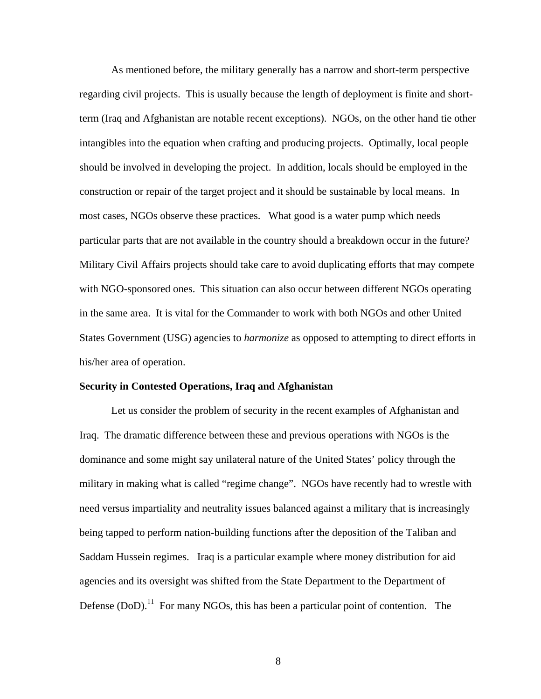As mentioned before, the military generally has a narrow and short-term perspective regarding civil projects. This is usually because the length of deployment is finite and shortterm (Iraq and Afghanistan are notable recent exceptions). NGOs, on the other hand tie other intangibles into the equation when crafting and producing projects. Optimally, local people should be involved in developing the project. In addition, locals should be employed in the construction or repair of the target project and it should be sustainable by local means. In most cases, NGOs observe these practices. What good is a water pump which needs particular parts that are not available in the country should a breakdown occur in the future? Military Civil Affairs projects should take care to avoid duplicating efforts that may compete with NGO-sponsored ones. This situation can also occur between different NGOs operating in the same area. It is vital for the Commander to work with both NGOs and other United States Government (USG) agencies to *harmonize* as opposed to attempting to direct efforts in his/her area of operation.

#### **Security in Contested Operations, Iraq and Afghanistan**

Let us consider the problem of security in the recent examples of Afghanistan and Iraq. The dramatic difference between these and previous operations with NGOs is the dominance and some might say unilateral nature of the United States' policy through the military in making what is called "regime change". NGOs have recently had to wrestle with need versus impartiality and neutrality issues balanced against a military that is increasingly being tapped to perform nation-building functions after the deposition of the Taliban and Saddam Hussein regimes. Iraq is a particular example where money distribution for aid agencies and its oversight was shifted from the State Department to the Department of Defense  $(DoD)$ <sup>11</sup> For many NGOs, this has been a particular point of contention. The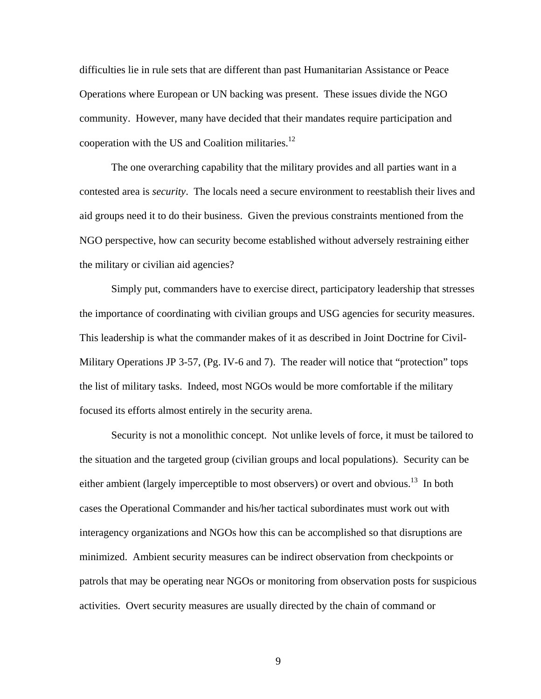difficulties lie in rule sets that are different than past Humanitarian Assistance or Peace Operations where European or UN backing was present. These issues divide the NGO community. However, many have decided that their mandates require participation and cooperation with the US and Coalition militaries. $^{12}$ 

The one overarching capability that the military provides and all parties want in a contested area is *security*. The locals need a secure environment to reestablish their lives and aid groups need it to do their business. Given the previous constraints mentioned from the NGO perspective, how can security become established without adversely restraining either the military or civilian aid agencies?

Simply put, commanders have to exercise direct, participatory leadership that stresses the importance of coordinating with civilian groups and USG agencies for security measures. This leadership is what the commander makes of it as described in Joint Doctrine for Civil-Military Operations JP 3-57, (Pg. IV-6 and 7). The reader will notice that "protection" tops the list of military tasks. Indeed, most NGOs would be more comfortable if the military focused its efforts almost entirely in the security arena.

Security is not a monolithic concept. Not unlike levels of force, it must be tailored to the situation and the targeted group (civilian groups and local populations). Security can be either ambient (largely imperceptible to most observers) or overt and obvious.<sup>13</sup> In both cases the Operational Commander and his/her tactical subordinates must work out with interagency organizations and NGOs how this can be accomplished so that disruptions are minimized. Ambient security measures can be indirect observation from checkpoints or patrols that may be operating near NGOs or monitoring from observation posts for suspicious activities. Overt security measures are usually directed by the chain of command or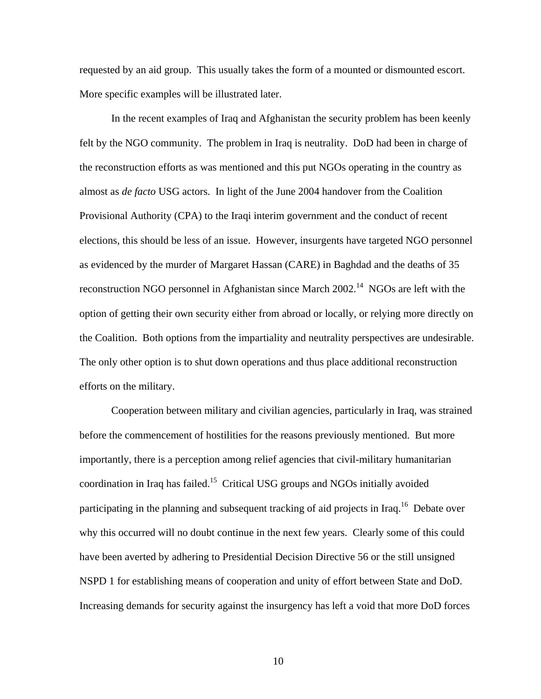requested by an aid group. This usually takes the form of a mounted or dismounted escort. More specific examples will be illustrated later.

In the recent examples of Iraq and Afghanistan the security problem has been keenly felt by the NGO community. The problem in Iraq is neutrality. DoD had been in charge of the reconstruction efforts as was mentioned and this put NGOs operating in the country as almost as *de facto* USG actors. In light of the June 2004 handover from the Coalition Provisional Authority (CPA) to the Iraqi interim government and the conduct of recent elections, this should be less of an issue. However, insurgents have targeted NGO personnel as evidenced by the murder of Margaret Hassan (CARE) in Baghdad and the deaths of 35 reconstruction NGO personnel in Afghanistan since March 2002.<sup>14</sup> NGOs are left with the option of getting their own security either from abroad or locally, or relying more directly on the Coalition. Both options from the impartiality and neutrality perspectives are undesirable. The only other option is to shut down operations and thus place additional reconstruction efforts on the military.

Cooperation between military and civilian agencies, particularly in Iraq, was strained before the commencement of hostilities for the reasons previously mentioned. But more importantly, there is a perception among relief agencies that civil-military humanitarian coordination in Iraq has failed.<sup>15</sup> Critical USG groups and NGOs initially avoided participating in the planning and subsequent tracking of aid projects in Iraq.<sup>16</sup> Debate over why this occurred will no doubt continue in the next few years. Clearly some of this could have been averted by adhering to Presidential Decision Directive 56 or the still unsigned NSPD 1 for establishing means of cooperation and unity of effort between State and DoD. Increasing demands for security against the insurgency has left a void that more DoD forces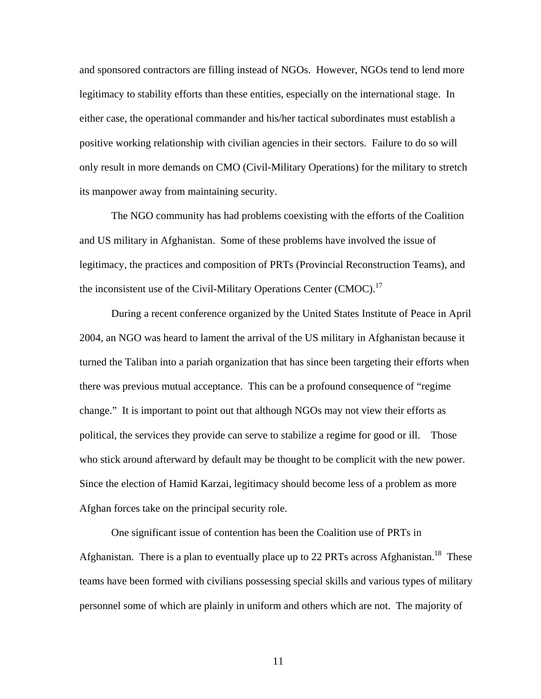and sponsored contractors are filling instead of NGOs. However, NGOs tend to lend more legitimacy to stability efforts than these entities, especially on the international stage. In either case, the operational commander and his/her tactical subordinates must establish a positive working relationship with civilian agencies in their sectors. Failure to do so will only result in more demands on CMO (Civil-Military Operations) for the military to stretch its manpower away from maintaining security.

The NGO community has had problems coexisting with the efforts of the Coalition and US military in Afghanistan. Some of these problems have involved the issue of legitimacy, the practices and composition of PRTs (Provincial Reconstruction Teams), and the inconsistent use of the Civil-Military Operations Center (CMOC).<sup>17</sup>

During a recent conference organized by the United States Institute of Peace in April 2004, an NGO was heard to lament the arrival of the US military in Afghanistan because it turned the Taliban into a pariah organization that has since been targeting their efforts when there was previous mutual acceptance. This can be a profound consequence of "regime change." It is important to point out that although NGOs may not view their efforts as political, the services they provide can serve to stabilize a regime for good or ill. Those who stick around afterward by default may be thought to be complicit with the new power. Since the election of Hamid Karzai, legitimacy should become less of a problem as more Afghan forces take on the principal security role.

One significant issue of contention has been the Coalition use of PRTs in Afghanistan. There is a plan to eventually place up to 22 PRTs across Afghanistan.<sup>18</sup> These teams have been formed with civilians possessing special skills and various types of military personnel some of which are plainly in uniform and others which are not. The majority of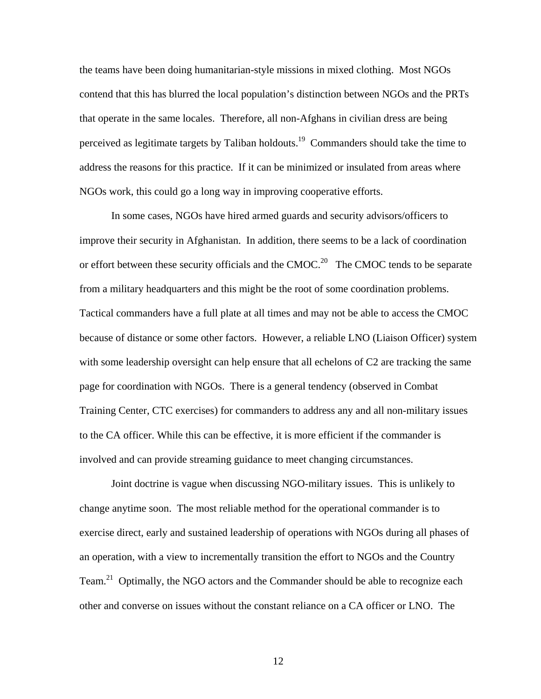the teams have been doing humanitarian-style missions in mixed clothing. Most NGOs contend that this has blurred the local population's distinction between NGOs and the PRTs that operate in the same locales. Therefore, all non-Afghans in civilian dress are being perceived as legitimate targets by Taliban holdouts.<sup>19</sup> Commanders should take the time to address the reasons for this practice. If it can be minimized or insulated from areas where NGOs work, this could go a long way in improving cooperative efforts.

In some cases, NGOs have hired armed guards and security advisors/officers to improve their security in Afghanistan. In addition, there seems to be a lack of coordination or effort between these security officials and the CMOC.<sup>20</sup> The CMOC tends to be separate from a military headquarters and this might be the root of some coordination problems. Tactical commanders have a full plate at all times and may not be able to access the CMOC because of distance or some other factors. However, a reliable LNO (Liaison Officer) system with some leadership oversight can help ensure that all echelons of C2 are tracking the same page for coordination with NGOs. There is a general tendency (observed in Combat Training Center, CTC exercises) for commanders to address any and all non-military issues to the CA officer. While this can be effective, it is more efficient if the commander is involved and can provide streaming guidance to meet changing circumstances.

Joint doctrine is vague when discussing NGO-military issues. This is unlikely to change anytime soon. The most reliable method for the operational commander is to exercise direct, early and sustained leadership of operations with NGOs during all phases of an operation, with a view to incrementally transition the effort to NGOs and the Country Team.<sup>21</sup> Optimally, the NGO actors and the Commander should be able to recognize each other and converse on issues without the constant reliance on a CA officer or LNO. The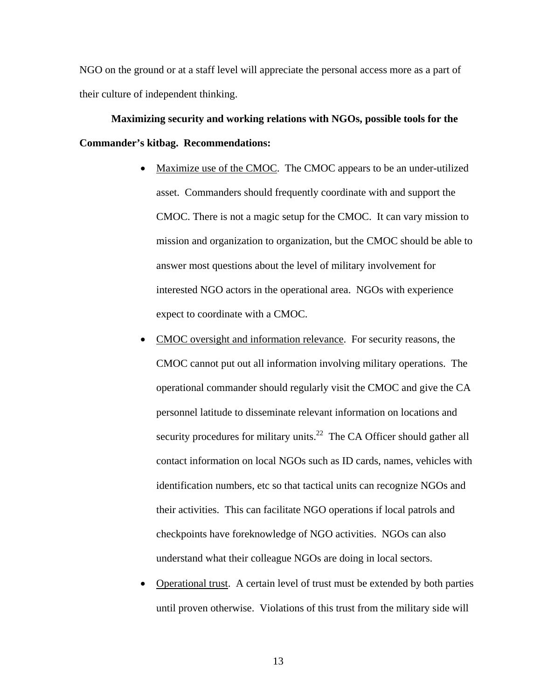NGO on the ground or at a staff level will appreciate the personal access more as a part of their culture of independent thinking.

# **Maximizing security and working relations with NGOs, possible tools for the Commander's kitbag. Recommendations:**

- Maximize use of the CMOC. The CMOC appears to be an under-utilized asset. Commanders should frequently coordinate with and support the CMOC. There is not a magic setup for the CMOC. It can vary mission to mission and organization to organization, but the CMOC should be able to answer most questions about the level of military involvement for interested NGO actors in the operational area. NGOs with experience expect to coordinate with a CMOC.
- CMOC oversight and information relevance. For security reasons, the CMOC cannot put out all information involving military operations. The operational commander should regularly visit the CMOC and give the CA personnel latitude to disseminate relevant information on locations and security procedures for military units.<sup>22</sup> The CA Officer should gather all contact information on local NGOs such as ID cards, names, vehicles with identification numbers, etc so that tactical units can recognize NGOs and their activities. This can facilitate NGO operations if local patrols and checkpoints have foreknowledge of NGO activities. NGOs can also understand what their colleague NGOs are doing in local sectors.
- Operational trust. A certain level of trust must be extended by both parties until proven otherwise. Violations of this trust from the military side will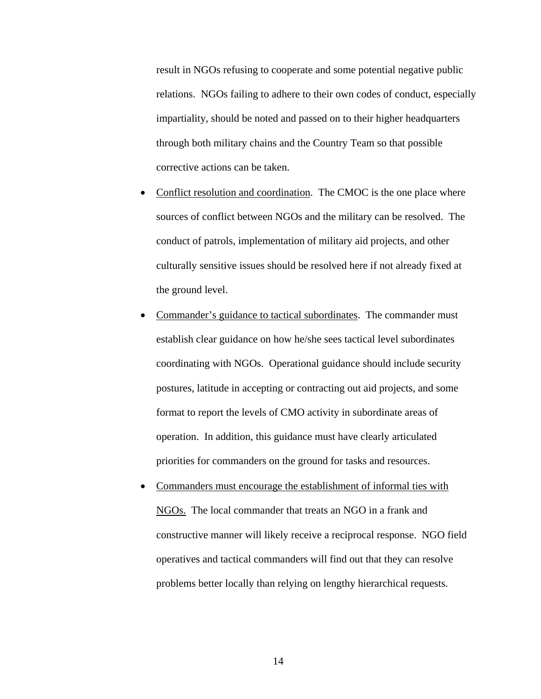result in NGOs refusing to cooperate and some potential negative public relations. NGOs failing to adhere to their own codes of conduct, especially impartiality, should be noted and passed on to their higher headquarters through both military chains and the Country Team so that possible corrective actions can be taken.

- Conflict resolution and coordination. The CMOC is the one place where sources of conflict between NGOs and the military can be resolved. The conduct of patrols, implementation of military aid projects, and other culturally sensitive issues should be resolved here if not already fixed at the ground level.
- Commander's guidance to tactical subordinates. The commander must establish clear guidance on how he/she sees tactical level subordinates coordinating with NGOs. Operational guidance should include security postures, latitude in accepting or contracting out aid projects, and some format to report the levels of CMO activity in subordinate areas of operation. In addition, this guidance must have clearly articulated priorities for commanders on the ground for tasks and resources.
- Commanders must encourage the establishment of informal ties with NGOs. The local commander that treats an NGO in a frank and constructive manner will likely receive a reciprocal response. NGO field operatives and tactical commanders will find out that they can resolve problems better locally than relying on lengthy hierarchical requests.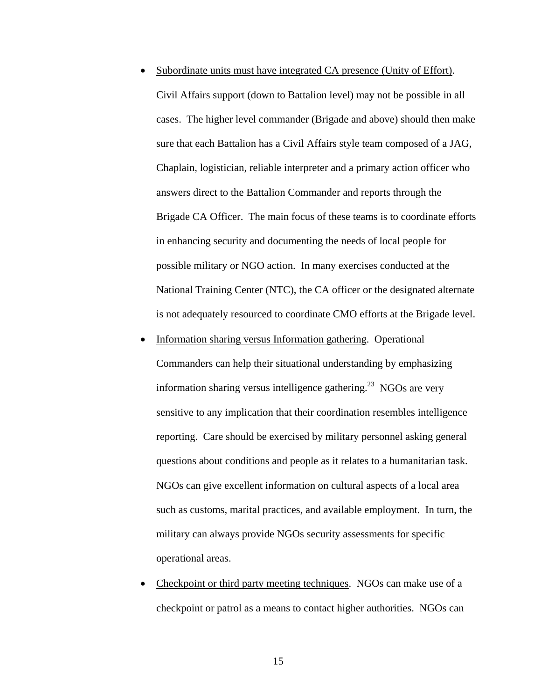- Subordinate units must have integrated CA presence (Unity of Effort). Civil Affairs support (down to Battalion level) may not be possible in all cases. The higher level commander (Brigade and above) should then make sure that each Battalion has a Civil Affairs style team composed of a JAG, Chaplain, logistician, reliable interpreter and a primary action officer who answers direct to the Battalion Commander and reports through the Brigade CA Officer. The main focus of these teams is to coordinate efforts in enhancing security and documenting the needs of local people for possible military or NGO action. In many exercises conducted at the National Training Center (NTC), the CA officer or the designated alternate is not adequately resourced to coordinate CMO efforts at the Brigade level.
- Information sharing versus Information gathering. Operational Commanders can help their situational understanding by emphasizing information sharing versus intelligence gathering.<sup>23</sup> NGOs are very sensitive to any implication that their coordination resembles intelligence reporting. Care should be exercised by military personnel asking general questions about conditions and people as it relates to a humanitarian task. NGOs can give excellent information on cultural aspects of a local area such as customs, marital practices, and available employment. In turn, the military can always provide NGOs security assessments for specific operational areas.
- Checkpoint or third party meeting techniques. NGOs can make use of a checkpoint or patrol as a means to contact higher authorities. NGOs can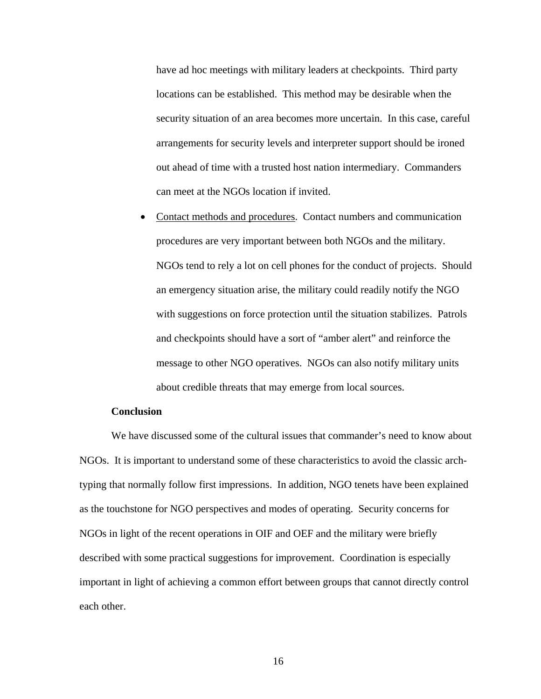have ad hoc meetings with military leaders at checkpoints. Third party locations can be established. This method may be desirable when the security situation of an area becomes more uncertain. In this case, careful arrangements for security levels and interpreter support should be ironed out ahead of time with a trusted host nation intermediary. Commanders can meet at the NGOs location if invited.

• Contact methods and procedures. Contact numbers and communication procedures are very important between both NGOs and the military. NGOs tend to rely a lot on cell phones for the conduct of projects. Should an emergency situation arise, the military could readily notify the NGO with suggestions on force protection until the situation stabilizes. Patrols and checkpoints should have a sort of "amber alert" and reinforce the message to other NGO operatives. NGOs can also notify military units about credible threats that may emerge from local sources.

#### **Conclusion**

We have discussed some of the cultural issues that commander's need to know about NGOs. It is important to understand some of these characteristics to avoid the classic archtyping that normally follow first impressions. In addition, NGO tenets have been explained as the touchstone for NGO perspectives and modes of operating. Security concerns for NGOs in light of the recent operations in OIF and OEF and the military were briefly described with some practical suggestions for improvement. Coordination is especially important in light of achieving a common effort between groups that cannot directly control each other.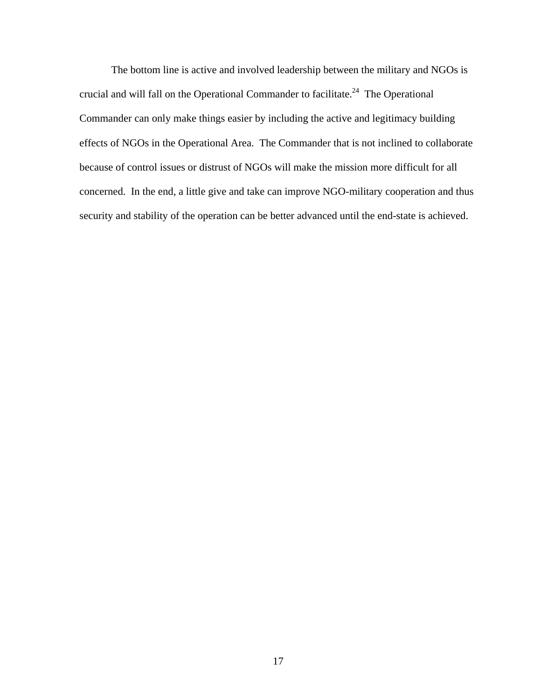The bottom line is active and involved leadership between the military and NGOs is crucial and will fall on the Operational Commander to facilitate.<sup>24</sup> The Operational Commander can only make things easier by including the active and legitimacy building effects of NGOs in the Operational Area. The Commander that is not inclined to collaborate because of control issues or distrust of NGOs will make the mission more difficult for all concerned. In the end, a little give and take can improve NGO-military cooperation and thus security and stability of the operation can be better advanced until the end-state is achieved.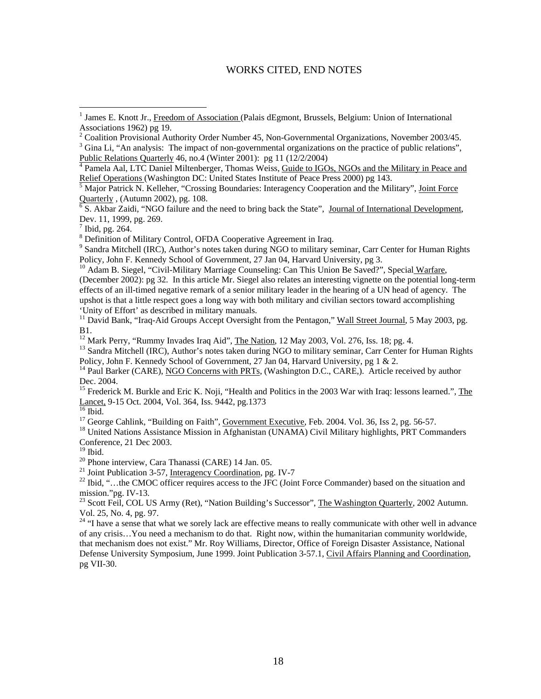### WORKS CITED, END NOTES

<sup>3</sup> Gina Li, "An analysis: The impact of non-governmental organizations on the practice of public relations", Public Relations Quarterly 46, no.4 (Winter 2001): pg 11 ( $12/2/2004$ )

 Pamela Aal, LTC Daniel Miltenberger, Thomas Weiss, Guide to IGOs, NGOs and the Military in Peace and Relief Operations (Washington DC: United States Institute of Peace Press 2000) pg 143.

<sup>6</sup> S. Akbar Zaidi, "NGO failure and the need to bring back the State", Journal of International Development, Dev. 11, 1999, pg. 269.

<u>.</u>

<sup>8</sup> Definition of Military Control, OFDA Cooperative Agreement in Iraq.

<sup>9</sup> Sandra Mitchell (IRC), Author's notes taken during NGO to military seminar, Carr Center for Human Rights Policy, John F. Kennedy School of Government, 27 Jan 04, Harvard University, pg 3.

<sup>10</sup> Adam B. Siegel, "Civil-Military Marriage Counseling: Can This Union Be Saved?", Special Warfare, (December 2002): pg 32. In this article Mr. Siegel also relates an interesting vignette on the potential long-term effects of an ill-timed negative remark of a senior military leader in the hearing of a UN head of agency. The upshot is that a little respect goes a long way with both military and civilian sectors toward accomplishing 'Unity of Effort' as described in military manuals.

<sup>11</sup> David Bank, "Iraq-Aid Groups Accept Oversight from the Pentagon," Wall Street Journal, 5 May 2003, pg. B1.<br><sup>12</sup> Mark Perry, "Rummy Invades Iraq Aid", The Nation, 12 May 2003, Vol. 276, Iss. 18; pg. 4.

<sup>13</sup> Sandra Mitchell (IRC), Author's notes taken during NGO to military seminar, Carr Center for Human Rights Policy, John F. Kennedy School of Government, 27 Jan 04, Harvard University, pg 1 & 2.

<sup>14</sup> Paul Barker (CARE), NGO Concerns with PRTs, (Washington D.C., CARE,). Article received by author Dec. 2004.

<sup>15</sup> Frederick M. Burkle and Eric K. Noji, "Health and Politics in the 2003 War with Iraq: lessons learned.", The Lancet, 9-15 Oct. 2004, Vol. 364, Iss. 9442, pg.1373<br>
<sup>16</sup> Ibid.<br>
<sup>17</sup> George Cahlink, "Building on Faith", Government Executive, Feb. 2004. Vol. 36, Iss 2, pg. 56-57.

<sup>18</sup> United Nations Assistance Mission in Afghanistan (UNAMA) Civil Military highlights, PRT Commanders Conference, 21 Dec 2003.

 $19$  Ibid.

<sup>20</sup> Phone interview, Cara Thanassi (CARE) 14 Jan. 05.<br><sup>21</sup> Joint Publication 3-57, Interagency Coordination, pg. IV-7

<sup>22</sup> Ibid, "... the CMOC officer requires access to the JFC (Joint Force Commander) based on the situation and mission."pg. IV-13.

<sup>23</sup> Scott Feil, COL US Army (Ret), "Nation Building's Successor", The Washington Quarterly, 2002 Autumn. Vol. 25, No. 4, pg. 97.

<sup>24</sup> "I have a sense that what we sorely lack are effective means to really communicate with other well in advance of any crisis…You need a mechanism to do that. Right now, within the humanitarian community worldwide, that mechanism does not exist." Mr. Roy Williams, Director, Office of Foreign Disaster Assistance, National Defense University Symposium, June 1999. Joint Publication 3-57.1, Civil Affairs Planning and Coordination, pg VII-30.

<sup>&</sup>lt;sup>1</sup> James E. Knott Jr., Freedom of Association (Palais dEgmont, Brussels, Belgium: Union of International Associations 1962) pg 19.

<sup>&</sup>lt;sup>2</sup> Coalition Provisional Authority Order Number 45, Non-Governmental Organizations, November 2003/45.

Major Patrick N. Kelleher, "Crossing Boundaries: Interagency Cooperation and the Military", Joint Force Quarterly , (Autumn 2002), pg. 108. 6

 $<sup>7</sup>$  Ibid, pg. 264.</sup>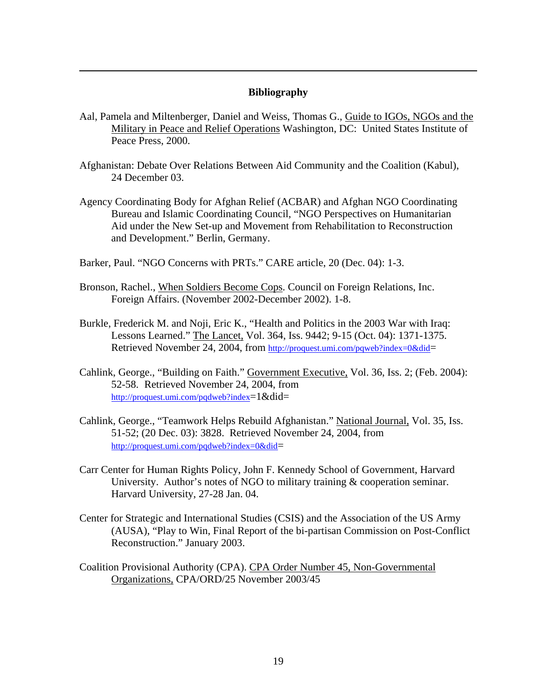## **Bibliography**

- Aal, Pamela and Miltenberger, Daniel and Weiss, Thomas G., Guide to IGOs, NGOs and the Military in Peace and Relief Operations Washington, DC: United States Institute of Peace Press, 2000.
- Afghanistan: Debate Over Relations Between Aid Community and the Coalition (Kabul), 24 December 03.
- Agency Coordinating Body for Afghan Relief (ACBAR) and Afghan NGO Coordinating Bureau and Islamic Coordinating Council, "NGO Perspectives on Humanitarian Aid under the New Set-up and Movement from Rehabilitation to Reconstruction and Development." Berlin, Germany.
- Barker, Paul. "NGO Concerns with PRTs." CARE article, 20 (Dec. 04): 1-3.

 $\overline{a}$ 

- Bronson, Rachel., When Soldiers Become Cops. Council on Foreign Relations, Inc. Foreign Affairs. (November 2002-December 2002). 1-8.
- Burkle, Frederick M. and Noji, Eric K., "Health and Politics in the 2003 War with Iraq: Lessons Learned." The Lancet, Vol. 364, Iss. 9442; 9-15 (Oct. 04): 1371-1375. Retrieved November 24, 2004, from http://proquest.umi.com/pqweb?index=0&did=
- Cahlink, George., "Building on Faith." Government Executive, Vol. 36, Iss. 2; (Feb. 2004): 52-58. Retrieved November 24, 2004, from http://proquest.umi.com/pqdweb?index=1&did=
- Cahlink, George., "Teamwork Helps Rebuild Afghanistan." National Journal, Vol. 35, Iss. 51-52; (20 Dec. 03): 3828. Retrieved November 24, 2004, from http://proquest.umi.com/pqdweb?index=0&did=
- Carr Center for Human Rights Policy, John F. Kennedy School of Government, Harvard University. Author's notes of NGO to military training & cooperation seminar. Harvard University, 27-28 Jan. 04.
- Center for Strategic and International Studies (CSIS) and the Association of the US Army (AUSA), "Play to Win, Final Report of the bi-partisan Commission on Post-Conflict Reconstruction." January 2003.
- Coalition Provisional Authority (CPA). CPA Order Number 45, Non-Governmental Organizations, CPA/ORD/25 November 2003/45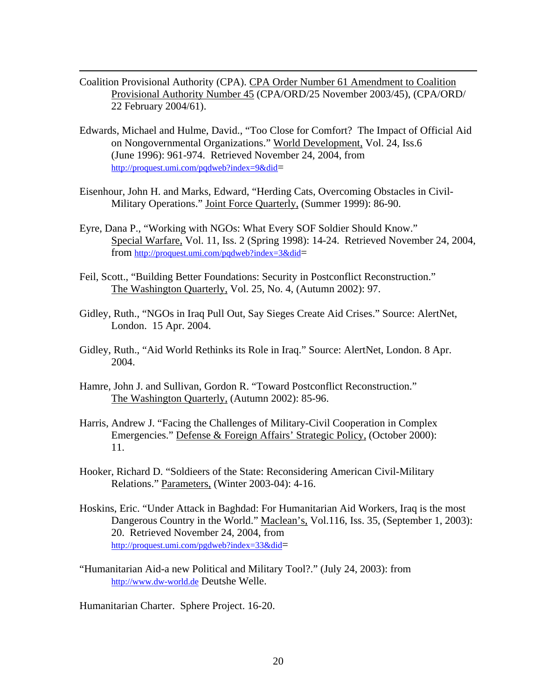Coalition Provisional Authority (CPA). CPA Order Number 61 Amendment to Coalition Provisional Authority Number 45 (CPA/ORD/25 November 2003/45), (CPA/ORD/ 22 February 2004/61).

 $\overline{a}$ 

- Edwards, Michael and Hulme, David., "Too Close for Comfort? The Impact of Official Aid on Nongovernmental Organizations." World Development, Vol. 24, Iss.6 (June 1996): 961-974. Retrieved November 24, 2004, from http://proquest.umi.com/pqdweb?index=9&did=
- Eisenhour, John H. and Marks, Edward, "Herding Cats, Overcoming Obstacles in Civil- Military Operations." Joint Force Quarterly, (Summer 1999): 86-90.
- Eyre, Dana P., "Working with NGOs: What Every SOF Soldier Should Know." Special Warfare, Vol. 11, Iss. 2 (Spring 1998): 14-24. Retrieved November 24, 2004, from http://proquest.umi.com/pqdweb?index=3&did=
- Feil, Scott., "Building Better Foundations: Security in Postconflict Reconstruction." The Washington Quarterly, Vol. 25, No. 4, (Autumn 2002): 97.
- Gidley, Ruth., "NGOs in Iraq Pull Out, Say Sieges Create Aid Crises." Source: AlertNet, London. 15 Apr. 2004.
- Gidley, Ruth., "Aid World Rethinks its Role in Iraq." Source: AlertNet, London. 8 Apr. 2004.
- Hamre, John J. and Sullivan, Gordon R. "Toward Postconflict Reconstruction." The Washington Quarterly, (Autumn 2002): 85-96.
- Harris, Andrew J. "Facing the Challenges of Military-Civil Cooperation in Complex Emergencies." Defense & Foreign Affairs' Strategic Policy, (October 2000): 11.
- Hooker, Richard D. "Soldieers of the State: Reconsidering American Civil-Military Relations." Parameters, (Winter 2003-04): 4-16.
- Hoskins, Eric. "Under Attack in Baghdad: For Humanitarian Aid Workers, Iraq is the most Dangerous Country in the World." Maclean's, Vol.116, Iss. 35, (September 1, 2003): 20. Retrieved November 24, 2004, from http://proquest.umi.com/pgdweb?index=33&did=
- "Humanitarian Aid-a new Political and Military Tool?." (July 24, 2003): from http://www.dw-world.de Deutshe Welle.

Humanitarian Charter. Sphere Project. 16-20.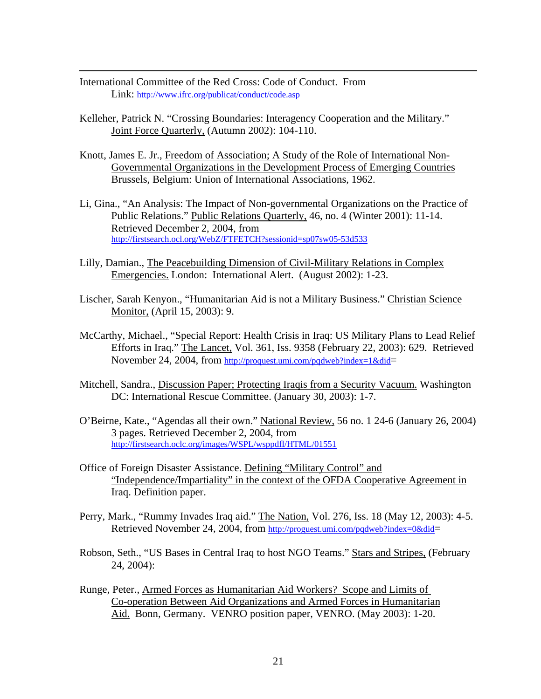International Committee of the Red Cross: Code of Conduct. From Link: http://www.ifrc.org/publicat/conduct/code.asp

 $\overline{a}$ 

- Kelleher, Patrick N. "Crossing Boundaries: Interagency Cooperation and the Military." Joint Force Quarterly, (Autumn 2002): 104-110.
- Knott, James E. Jr., Freedom of Association; A Study of the Role of International Non- Governmental Organizations in the Development Process of Emerging Countries Brussels, Belgium: Union of International Associations, 1962.
- Li, Gina., "An Analysis: The Impact of Non-governmental Organizations on the Practice of Public Relations." Public Relations Quarterly, 46, no. 4 (Winter 2001): 11-14. Retrieved December 2, 2004, from http://firstsearch.ocl.org/WebZ/FTFETCH?sessionid=sp07sw05-53d533
- Lilly, Damian., The Peacebuilding Dimension of Civil-Military Relations in Complex Emergencies. London: International Alert. (August 2002): 1-23.
- Lischer, Sarah Kenyon., "Humanitarian Aid is not a Military Business." Christian Science Monitor, (April 15, 2003): 9.
- McCarthy, Michael., "Special Report: Health Crisis in Iraq: US Military Plans to Lead Relief Efforts in Iraq." The Lancet, Vol. 361, Iss. 9358 (February 22, 2003): 629. Retrieved November 24, 2004, from http://proquest.umi.com/pqdweb?index=1&did=
- Mitchell, Sandra., Discussion Paper; Protecting Iraqis from a Security Vacuum. Washington DC: International Rescue Committee. (January 30, 2003): 1-7.
- O'Beirne, Kate., "Agendas all their own." National Review, 56 no. 1 24-6 (January 26, 2004) 3 pages. Retrieved December 2, 2004, from http://firstsearch.oclc.org/images/WSPL/wsppdfl/HTML/01551
- Office of Foreign Disaster Assistance. Defining "Military Control" and "Independence/Impartiality" in the context of the OFDA Cooperative Agreement in Iraq. Definition paper.
- Perry, Mark., "Rummy Invades Iraq aid." The Nation, Vol. 276, Iss. 18 (May 12, 2003): 4-5. Retrieved November 24, 2004, from http://proguest.umi.com/pqdweb?index=0&did=
- Robson, Seth., "US Bases in Central Iraq to host NGO Teams." Stars and Stripes, (February 24, 2004):
- Runge, Peter., Armed Forces as Humanitarian Aid Workers? Scope and Limits of Co-operation Between Aid Organizations and Armed Forces in Humanitarian Aid. Bonn, Germany. VENRO position paper, VENRO. (May 2003): 1-20.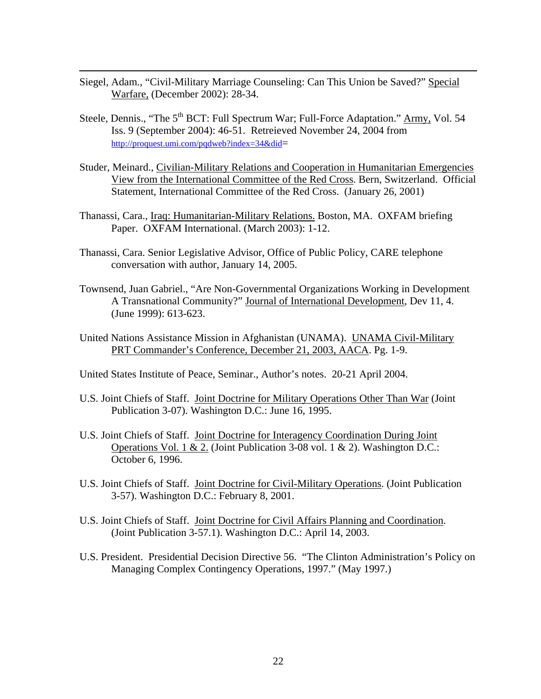Siegel, Adam., "Civil-Military Marriage Counseling: Can This Union be Saved?" Special Warfare, (December 2002): 28-34.

 $\overline{a}$ 

- Steele, Dennis., "The 5<sup>th</sup> BCT: Full Spectrum War; Full-Force Adaptation." Army, Vol. 54 Iss. 9 (September 2004): 46-51. Retreieved November 24, 2004 from http://proquest.umi.com/pqdweb?index=34&did=
- Studer, Meinard., Civilian-Military Relations and Cooperation in Humanitarian Emergencies View from the International Committee of the Red Cross. Bern, Switzerland. Official Statement, International Committee of the Red Cross. (January 26, 2001)
- Thanassi, Cara., Iraq: Humanitarian-Military Relations. Boston, MA. OXFAM briefing Paper. OXFAM International. (March 2003): 1-12.
- Thanassi, Cara. Senior Legislative Advisor, Office of Public Policy, CARE telephone conversation with author, January 14, 2005.
- Townsend, Juan Gabriel., "Are Non-Governmental Organizations Working in Development A Transnational Community?" Journal of International Development, Dev 11, 4. (June 1999): 613-623.
- United Nations Assistance Mission in Afghanistan (UNAMA). UNAMA Civil-Military PRT Commander's Conference, December 21, 2003, AACA. Pg. 1-9.

United States Institute of Peace, Seminar., Author's notes. 20-21 April 2004.

- U.S. Joint Chiefs of Staff. Joint Doctrine for Military Operations Other Than War (Joint Publication 3-07). Washington D.C.: June 16, 1995.
- U.S. Joint Chiefs of Staff. Joint Doctrine for Interagency Coordination During Joint Operations Vol. 1 & 2. (Joint Publication 3-08 vol. 1 & 2). Washington D.C.: October 6, 1996.
- U.S. Joint Chiefs of Staff. Joint Doctrine for Civil-Military Operations. (Joint Publication 3-57). Washington D.C.: February 8, 2001.
- U.S. Joint Chiefs of Staff. Joint Doctrine for Civil Affairs Planning and Coordination. (Joint Publication 3-57.1). Washington D.C.: April 14, 2003.
- U.S. President. Presidential Decision Directive 56. "The Clinton Administration's Policy on Managing Complex Contingency Operations, 1997." (May 1997.)